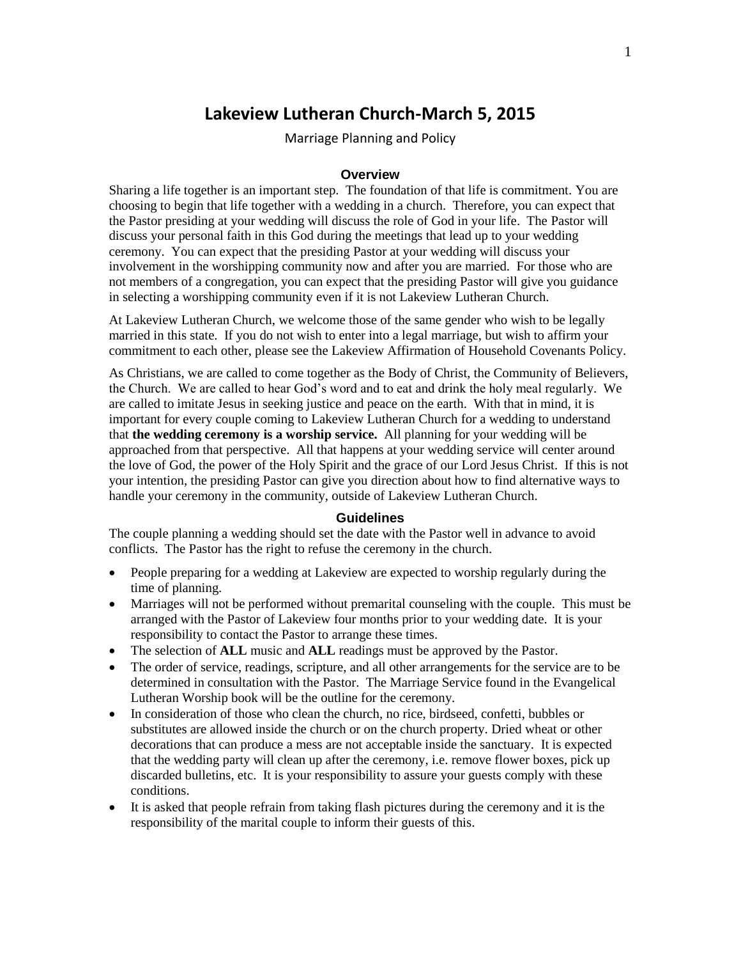# **Lakeview Lutheran Church-March 5, 2015**

Marriage Planning and Policy

#### **Overview**

Sharing a life together is an important step. The foundation of that life is commitment. You are choosing to begin that life together with a wedding in a church. Therefore, you can expect that the Pastor presiding at your wedding will discuss the role of God in your life. The Pastor will discuss your personal faith in this God during the meetings that lead up to your wedding ceremony. You can expect that the presiding Pastor at your wedding will discuss your involvement in the worshipping community now and after you are married. For those who are not members of a congregation, you can expect that the presiding Pastor will give you guidance in selecting a worshipping community even if it is not Lakeview Lutheran Church.

At Lakeview Lutheran Church, we welcome those of the same gender who wish to be legally married in this state. If you do not wish to enter into a legal marriage, but wish to affirm your commitment to each other, please see the Lakeview Affirmation of Household Covenants Policy.

As Christians, we are called to come together as the Body of Christ, the Community of Believers, the Church. We are called to hear God's word and to eat and drink the holy meal regularly. We are called to imitate Jesus in seeking justice and peace on the earth. With that in mind, it is important for every couple coming to Lakeview Lutheran Church for a wedding to understand that **the wedding ceremony is a worship service.** All planning for your wedding will be approached from that perspective. All that happens at your wedding service will center around the love of God, the power of the Holy Spirit and the grace of our Lord Jesus Christ. If this is not your intention, the presiding Pastor can give you direction about how to find alternative ways to handle your ceremony in the community, outside of Lakeview Lutheran Church.

#### **Guidelines**

The couple planning a wedding should set the date with the Pastor well in advance to avoid conflicts. The Pastor has the right to refuse the ceremony in the church.

- People preparing for a wedding at Lakeview are expected to worship regularly during the time of planning.
- Marriages will not be performed without premarital counseling with the couple. This must be arranged with the Pastor of Lakeview four months prior to your wedding date. It is your responsibility to contact the Pastor to arrange these times.
- The selection of **ALL** music and **ALL** readings must be approved by the Pastor.
- The order of service, readings, scripture, and all other arrangements for the service are to be determined in consultation with the Pastor. The Marriage Service found in the Evangelical Lutheran Worship book will be the outline for the ceremony.
- In consideration of those who clean the church, no rice, birdseed, confetti, bubbles or substitutes are allowed inside the church or on the church property. Dried wheat or other decorations that can produce a mess are not acceptable inside the sanctuary. It is expected that the wedding party will clean up after the ceremony, i.e. remove flower boxes, pick up discarded bulletins, etc. It is your responsibility to assure your guests comply with these conditions.
- It is asked that people refrain from taking flash pictures during the ceremony and it is the responsibility of the marital couple to inform their guests of this.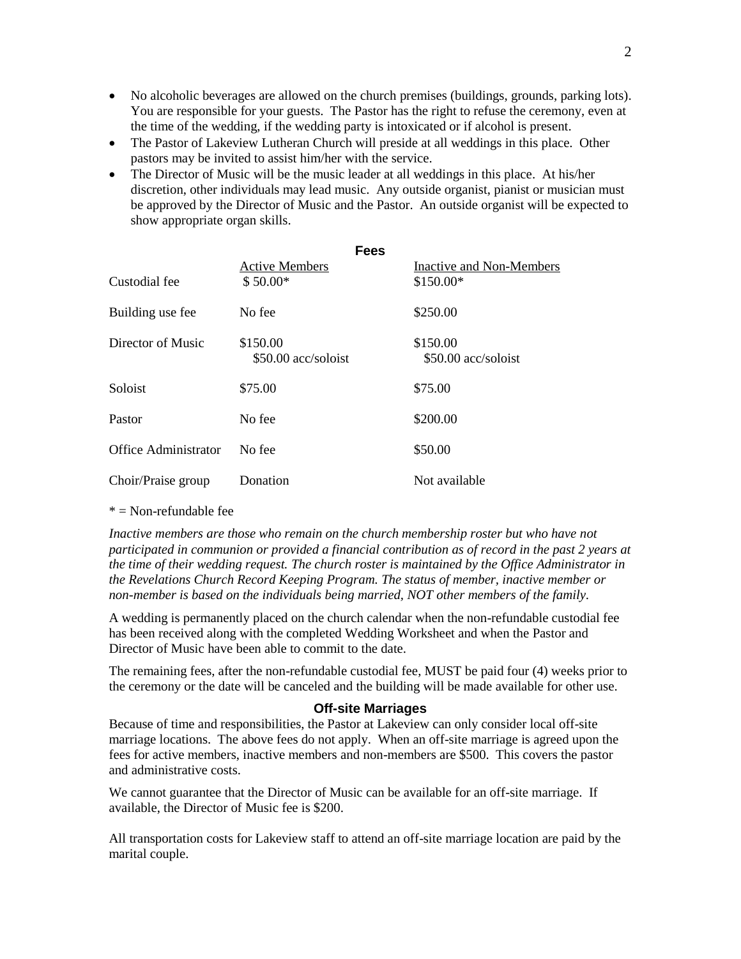- No alcoholic beverages are allowed on the church premises (buildings, grounds, parking lots). You are responsible for your guests. The Pastor has the right to refuse the ceremony, even at the time of the wedding, if the wedding party is intoxicated or if alcohol is present.
- The Pastor of Lakeview Lutheran Church will preside at all weddings in this place. Other pastors may be invited to assist him/her with the service.
- The Director of Music will be the music leader at all weddings in this place. At his/her discretion, other individuals may lead music. Any outside organist, pianist or musician must be approved by the Director of Music and the Pastor. An outside organist will be expected to show appropriate organ skills.

|                             | <b>Fees</b>                     |                                 |
|-----------------------------|---------------------------------|---------------------------------|
|                             | <b>Active Members</b>           | Inactive and Non-Members        |
| Custodial fee               | $$50.00*$                       | $$150.00*$                      |
| Building use fee            | No fee                          | \$250.00                        |
| Director of Music           | \$150.00<br>\$50.00 acc/soloist | \$150.00<br>\$50.00 acc/soloist |
| Soloist                     | \$75.00                         | \$75.00                         |
| Pastor                      | No fee                          | \$200.00                        |
| <b>Office Administrator</b> | No fee                          | \$50.00                         |
| Choir/Praise group          | Donation                        | Not available                   |

#### $* =$  Non-refundable fee

*Inactive members are those who remain on the church membership roster but who have not participated in communion or provided a financial contribution as of record in the past 2 years at the time of their wedding request. The church roster is maintained by the Office Administrator in the Revelations Church Record Keeping Program. The status of member, inactive member or non-member is based on the individuals being married, NOT other members of the family.*

A wedding is permanently placed on the church calendar when the non-refundable custodial fee has been received along with the completed Wedding Worksheet and when the Pastor and Director of Music have been able to commit to the date.

The remaining fees, after the non-refundable custodial fee, MUST be paid four (4) weeks prior to the ceremony or the date will be canceled and the building will be made available for other use.

#### **Off-site Marriages**

Because of time and responsibilities, the Pastor at Lakeview can only consider local off-site marriage locations. The above fees do not apply. When an off-site marriage is agreed upon the fees for active members, inactive members and non-members are \$500. This covers the pastor and administrative costs.

We cannot guarantee that the Director of Music can be available for an off-site marriage. If available, the Director of Music fee is \$200.

All transportation costs for Lakeview staff to attend an off-site marriage location are paid by the marital couple.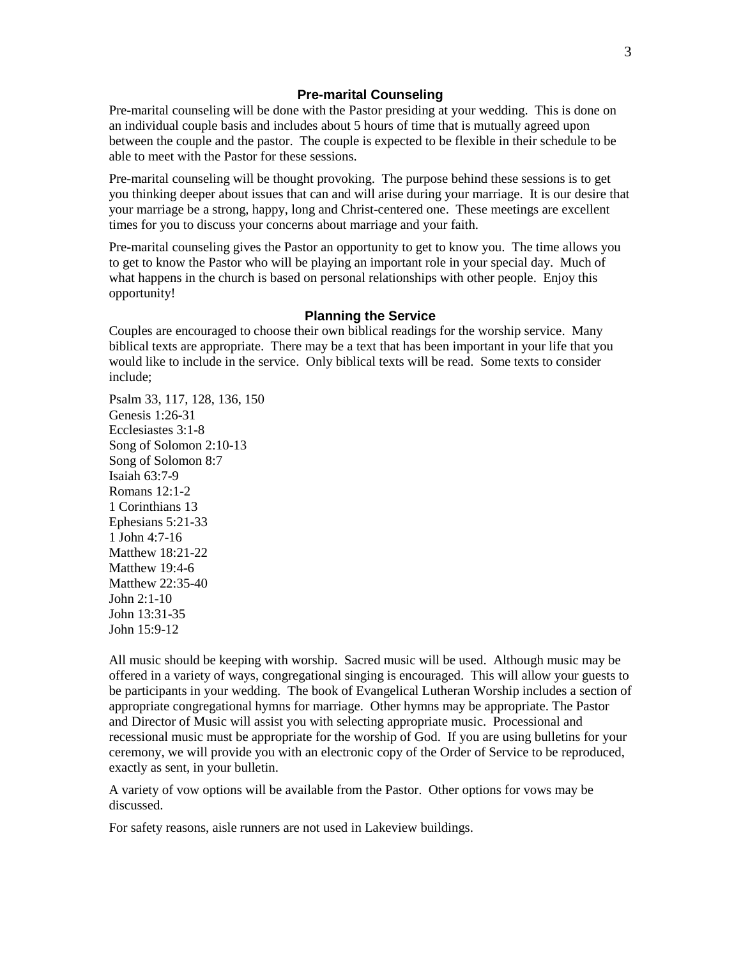## **Pre-marital Counseling**

Pre-marital counseling will be done with the Pastor presiding at your wedding. This is done on an individual couple basis and includes about 5 hours of time that is mutually agreed upon between the couple and the pastor. The couple is expected to be flexible in their schedule to be able to meet with the Pastor for these sessions.

Pre-marital counseling will be thought provoking. The purpose behind these sessions is to get you thinking deeper about issues that can and will arise during your marriage. It is our desire that your marriage be a strong, happy, long and Christ-centered one. These meetings are excellent times for you to discuss your concerns about marriage and your faith.

Pre-marital counseling gives the Pastor an opportunity to get to know you. The time allows you to get to know the Pastor who will be playing an important role in your special day. Much of what happens in the church is based on personal relationships with other people. Enjoy this opportunity!

## **Planning the Service**

Couples are encouraged to choose their own biblical readings for the worship service. Many biblical texts are appropriate. There may be a text that has been important in your life that you would like to include in the service. Only biblical texts will be read. Some texts to consider include;

Psalm 33, 117, 128, 136, 150 Genesis 1:26-31 Ecclesiastes 3:1-8 Song of Solomon 2:10-13 Song of Solomon 8:7 Isaiah 63:7-9 Romans 12:1-2 1 Corinthians 13 Ephesians 5:21-33 1 John 4:7-16 Matthew 18:21-22 Matthew 19:4-6 Matthew 22:35-40 John  $2:1-10$ John 13:31-35 John 15:9-12

All music should be keeping with worship. Sacred music will be used. Although music may be offered in a variety of ways, congregational singing is encouraged. This will allow your guests to be participants in your wedding. The book of Evangelical Lutheran Worship includes a section of appropriate congregational hymns for marriage. Other hymns may be appropriate. The Pastor and Director of Music will assist you with selecting appropriate music. Processional and recessional music must be appropriate for the worship of God. If you are using bulletins for your ceremony, we will provide you with an electronic copy of the Order of Service to be reproduced, exactly as sent, in your bulletin.

A variety of vow options will be available from the Pastor. Other options for vows may be discussed.

For safety reasons, aisle runners are not used in Lakeview buildings.